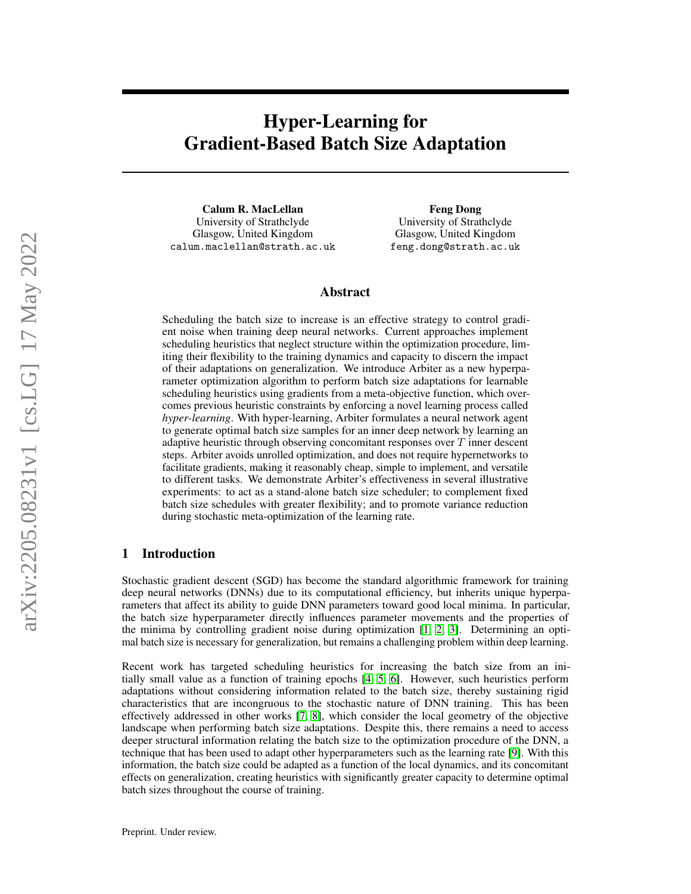# Hyper-Learning for Gradient-Based Batch Size Adaptation

Calum R. MacLellan University of Strathclyde Glasgow, United Kingdom calum.maclellan@strath.ac.uk

Feng Dong University of Strathclyde Glasgow, United Kingdom feng.dong@strath.ac.uk

## Abstract

Scheduling the batch size to increase is an effective strategy to control gradient noise when training deep neural networks. Current approaches implement scheduling heuristics that neglect structure within the optimization procedure, limiting their flexibility to the training dynamics and capacity to discern the impact of their adaptations on generalization. We introduce Arbiter as a new hyperparameter optimization algorithm to perform batch size adaptations for learnable scheduling heuristics using gradients from a meta-objective function, which overcomes previous heuristic constraints by enforcing a novel learning process called *hyper-learning*. With hyper-learning, Arbiter formulates a neural network agent to generate optimal batch size samples for an inner deep network by learning an adaptive heuristic through observing concomitant responses over T inner descent steps. Arbiter avoids unrolled optimization, and does not require hypernetworks to facilitate gradients, making it reasonably cheap, simple to implement, and versatile to different tasks. We demonstrate Arbiter's effectiveness in several illustrative experiments: to act as a stand-alone batch size scheduler; to complement fixed batch size schedules with greater flexibility; and to promote variance reduction during stochastic meta-optimization of the learning rate.

## 1 Introduction

Stochastic gradient descent (SGD) has become the standard algorithmic framework for training deep neural networks (DNNs) due to its computational efficiency, but inherits unique hyperparameters that affect its ability to guide DNN parameters toward good local minima. In particular, the batch size hyperparameter directly influences parameter movements and the properties of the minima by controlling gradient noise during optimization [\[1,](#page-8-0) [2,](#page-8-1) [3\]](#page-8-2). Determining an optimal batch size is necessary for generalization, but remains a challenging problem within deep learning.

Recent work has targeted scheduling heuristics for increasing the batch size from an initially small value as a function of training epochs [\[4,](#page-8-3) [5,](#page-8-4) [6\]](#page-8-5). However, such heuristics perform adaptations without considering information related to the batch size, thereby sustaining rigid characteristics that are incongruous to the stochastic nature of DNN training. This has been effectively addressed in other works [\[7,](#page-8-6) [8\]](#page-8-7), which consider the local geometry of the objective landscape when performing batch size adaptations. Despite this, there remains a need to access deeper structural information relating the batch size to the optimization procedure of the DNN, a technique that has been used to adapt other hyperparameters such as the learning rate [\[9\]](#page-8-8). With this information, the batch size could be adapted as a function of the local dynamics, and its concomitant effects on generalization, creating heuristics with significantly greater capacity to determine optimal batch sizes throughout the course of training.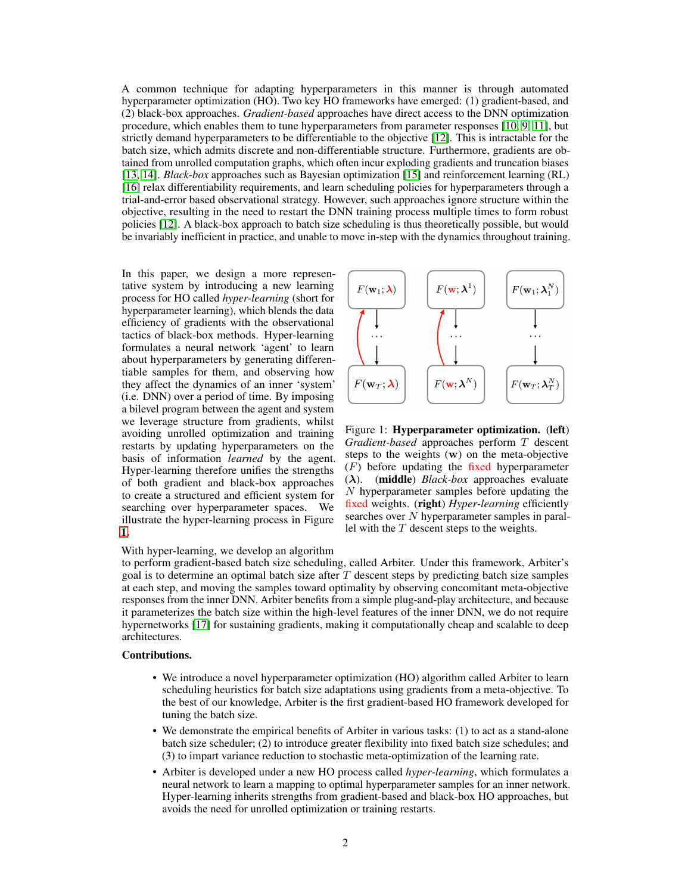A common technique for adapting hyperparameters in this manner is through automated hyperparameter optimization (HO). Two key HO frameworks have emerged: (1) gradient-based, and (2) black-box approaches. *Gradient-based* approaches have direct access to the DNN optimization procedure, which enables them to tune hyperparameters from parameter responses [\[10,](#page-8-9) [9,](#page-8-8) [11\]](#page-8-10), but strictly demand hyperparameters to be differentiable to the objective [\[12\]](#page-8-11). This is intractable for the batch size, which admits discrete and non-differentiable structure. Furthermore, gradients are obtained from unrolled computation graphs, which often incur exploding gradients and truncation biases [\[13,](#page-8-12) [14\]](#page-8-13). *Black-box* approaches such as Bayesian optimization [\[15\]](#page-8-14) and reinforcement learning (RL) [\[16\]](#page-9-0) relax differentiability requirements, and learn scheduling policies for hyperparameters through a trial-and-error based observational strategy. However, such approaches ignore structure within the objective, resulting in the need to restart the DNN training process multiple times to form robust policies [\[12\]](#page-8-11). A black-box approach to batch size scheduling is thus theoretically possible, but would be invariably inefficient in practice, and unable to move in-step with the dynamics throughout training.

In this paper, we design a more representative system by introducing a new learning process for HO called *hyper-learning* (short for hyperparameter learning), which blends the data efficiency of gradients with the observational tactics of black-box methods. Hyper-learning formulates a neural network 'agent' to learn about hyperparameters by generating differentiable samples for them, and observing how they affect the dynamics of an inner 'system' (i.e. DNN) over a period of time. By imposing a bilevel program between the agent and system we leverage structure from gradients, whilst avoiding unrolled optimization and training restarts by updating hyperparameters on the basis of information *learned* by the agent. Hyper-learning therefore unifies the strengths of both gradient and black-box approaches to create a structured and efficient system for searching over hyperparameter spaces. We illustrate the hyper-learning process in Figure [1.](#page-1-0)

With hyper-learning, we develop an algorithm

<span id="page-1-0"></span> $F(\mathbf{w}_1;\boldsymbol{\lambda})$  $F(\mathbf{w}; \boldsymbol{\lambda}^{\perp})$  $F(\mathbf{w}_1;\boldsymbol{\lambda}_1^t$  $F(\mathbf{w};\boldsymbol{\lambda}^{N})$  $F(\mathbf{w}_T;\boldsymbol{\lambda})$  $F(\mathbf{w}_T;\boldsymbol{\lambda}_T^{\scriptscriptstyle I}$ 

Figure 1: Hyperparameter optimization. (left) *Gradient-based* approaches perform T descent steps to the weights (w) on the meta-objective  $(F)$  before updating the fixed hyperparameter (λ). (middle) *Black-box* approaches evaluate N hyperparameter samples before updating the fixed weights. (right) *Hyper-learning* efficiently searches over N hyperparameter samples in parallel with the  $T$  descent steps to the weights.

to perform gradient-based batch size scheduling, called Arbiter. Under this framework, Arbiter's goal is to determine an optimal batch size after  $T$  descent steps by predicting batch size samples at each step, and moving the samples toward optimality by observing concomitant meta-objective responses from the inner DNN. Arbiter benefits from a simple plug-and-play architecture, and because it parameterizes the batch size within the high-level features of the inner DNN, we do not require hypernetworks [\[17\]](#page-9-1) for sustaining gradients, making it computationally cheap and scalable to deep architectures.

#### Contributions.

- We introduce a novel hyperparameter optimization (HO) algorithm called Arbiter to learn scheduling heuristics for batch size adaptations using gradients from a meta-objective. To the best of our knowledge, Arbiter is the first gradient-based HO framework developed for tuning the batch size.
- We demonstrate the empirical benefits of Arbiter in various tasks: (1) to act as a stand-alone batch size scheduler; (2) to introduce greater flexibility into fixed batch size schedules; and (3) to impart variance reduction to stochastic meta-optimization of the learning rate.
- Arbiter is developed under a new HO process called *hyper-learning*, which formulates a neural network to learn a mapping to optimal hyperparameter samples for an inner network. Hyper-learning inherits strengths from gradient-based and black-box HO approaches, but avoids the need for unrolled optimization or training restarts.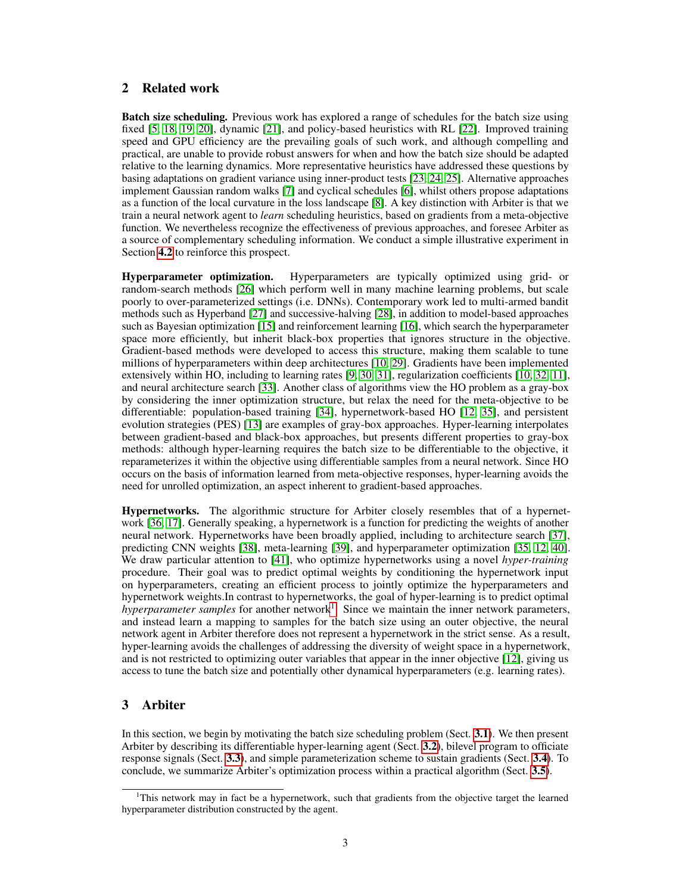# 2 Related work

**Batch size scheduling.** Previous work has explored a range of schedules for the batch size using fixed [\[5,](#page-8-4) [18,](#page-9-2) [19,](#page-9-3) [20\]](#page-9-4), dynamic [\[21\]](#page-9-5), and policy-based heuristics with RL [\[22\]](#page-9-6). Improved training speed and GPU efficiency are the prevailing goals of such work, and although compelling and practical, are unable to provide robust answers for when and how the batch size should be adapted relative to the learning dynamics. More representative heuristics have addressed these questions by basing adaptations on gradient variance using inner-product tests [\[23,](#page-9-7) [24,](#page-9-8) [25\]](#page-9-9). Alternative approaches implement Gaussian random walks [\[7\]](#page-8-6) and cyclical schedules [\[6\]](#page-8-5), whilst others propose adaptations as a function of the local curvature in the loss landscape [\[8\]](#page-8-7). A key distinction with Arbiter is that we train a neural network agent to *learn* scheduling heuristics, based on gradients from a meta-objective function. We nevertheless recognize the effectiveness of previous approaches, and foresee Arbiter as a source of complementary scheduling information. We conduct a simple illustrative experiment in Section [4.2](#page-7-0) to reinforce this prospect.

Hyperparameter optimization. Hyperparameters are typically optimized using grid- or random-search methods [\[26\]](#page-9-10) which perform well in many machine learning problems, but scale poorly to over-parameterized settings (i.e. DNNs). Contemporary work led to multi-armed bandit methods such as Hyperband [\[27\]](#page-9-11) and successive-halving [\[28\]](#page-9-12), in addition to model-based approaches such as Bayesian optimization [\[15\]](#page-8-14) and reinforcement learning [\[16\]](#page-9-0), which search the hyperparameter space more efficiently, but inherit black-box properties that ignores structure in the objective. Gradient-based methods were developed to access this structure, making them scalable to tune millions of hyperparameters within deep architectures [\[10,](#page-8-9) [29\]](#page-9-13). Gradients have been implemented extensively within HO, including to learning rates [\[9,](#page-8-8) [30,](#page-9-14) [31\]](#page-9-15), regularization coefficients [\[10,](#page-8-9) [32,](#page-9-16) [11\]](#page-8-10), and neural architecture search [\[33\]](#page-9-17). Another class of algorithms view the HO problem as a gray-box by considering the inner optimization structure, but relax the need for the meta-objective to be differentiable: population-based training [\[34\]](#page-9-18), hypernetwork-based HO [\[12,](#page-8-11) [35\]](#page-9-19), and persistent evolution strategies (PES) [\[13\]](#page-8-12) are examples of gray-box approaches. Hyper-learning interpolates between gradient-based and black-box approaches, but presents different properties to gray-box methods: although hyper-learning requires the batch size to be differentiable to the objective, it reparameterizes it within the objective using differentiable samples from a neural network. Since HO occurs on the basis of information learned from meta-objective responses, hyper-learning avoids the need for unrolled optimization, an aspect inherent to gradient-based approaches.

Hypernetworks. The algorithmic structure for Arbiter closely resembles that of a hypernetwork [\[36,](#page-9-20) [17\]](#page-9-1). Generally speaking, a hypernetwork is a function for predicting the weights of another neural network. Hypernetworks have been broadly applied, including to architecture search [\[37\]](#page-9-21), predicting CNN weights [\[38\]](#page-9-22), meta-learning [\[39\]](#page-10-0), and hyperparameter optimization [\[35,](#page-9-19) [12,](#page-8-11) [40\]](#page-10-1). We draw particular attention to [\[41\]](#page-10-2), who optimize hypernetworks using a novel *hyper-training* procedure. Their goal was to predict optimal weights by conditioning the hypernetwork input on hyperparameters, creating an efficient process to jointly optimize the hyperparameters and hypernetwork weights.In contrast to hypernetworks, the goal of hyper-learning is to predict optimal hyperparameter samples for another network<sup>[1](#page-2-0)</sup>. Since we maintain the inner network parameters, and instead learn a mapping to samples for the batch size using an outer objective, the neural network agent in Arbiter therefore does not represent a hypernetwork in the strict sense. As a result, hyper-learning avoids the challenges of addressing the diversity of weight space in a hypernetwork, and is not restricted to optimizing outer variables that appear in the inner objective [\[12\]](#page-8-11), giving us access to tune the batch size and potentially other dynamical hyperparameters (e.g. learning rates).

# 3 Arbiter

In this section, we begin by motivating the batch size scheduling problem (Sect. [3.1](#page-3-0)). We then present Arbiter by describing its differentiable hyper-learning agent (Sect. [3.2](#page-3-1)), bilevel program to officiate response signals (Sect. [3.3](#page-4-0)), and simple parameterization scheme to sustain gradients (Sect. [3.4](#page-5-0)). To conclude, we summarize Arbiter's optimization process within a practical algorithm (Sect. [3.5](#page-5-1)).

<span id="page-2-0"></span><sup>&</sup>lt;sup>1</sup>This network may in fact be a hypernetwork, such that gradients from the objective target the learned hyperparameter distribution constructed by the agent.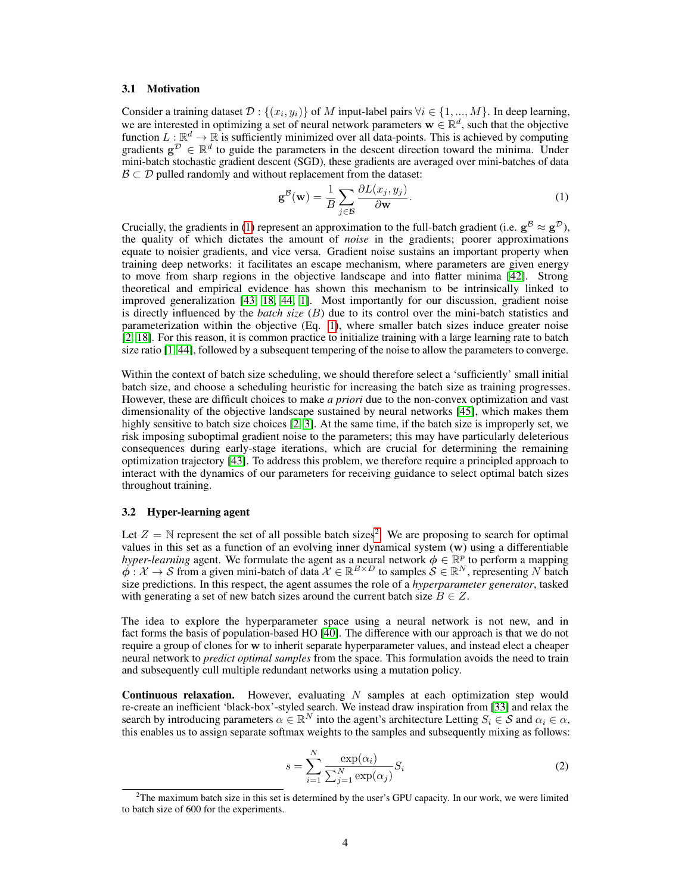#### <span id="page-3-0"></span>3.1 Motivation

Consider a training dataset  $\mathcal{D}: \{(x_i, y_i)\}\$  of M input-label pairs  $\forall i \in \{1, ..., M\}$ . In deep learning, we are interested in optimizing a set of neural network parameters  $\mathbf{w} \in \mathbb{R}^d$ , such that the objective function  $L:\mathbb{R}^d\to\mathbb{R}$  is sufficiently minimized over all data-points. This is achieved by computing gradients  $\mathbf{g}^{\mathcal{D}} \in \mathbb{R}^d$  to guide the parameters in the descent direction toward the minima. Under mini-batch stochastic gradient descent (SGD), these gradients are averaged over mini-batches of data  $\mathcal{B} \subset \mathcal{D}$  pulled randomly and without replacement from the dataset:

<span id="page-3-2"></span>
$$
\mathbf{g}^{\mathcal{B}}(\mathbf{w}) = \frac{1}{B} \sum_{j \in \mathcal{B}} \frac{\partial L(x_j, y_j)}{\partial \mathbf{w}}.
$$
 (1)

Crucially, the gradients in [\(1\)](#page-3-2) represent an approximation to the full-batch gradient (i.e.  $g^B \approx g^D$ ), the quality of which dictates the amount of *noise* in the gradients; poorer approximations equate to noisier gradients, and vice versa. Gradient noise sustains an important property when training deep networks: it facilitates an escape mechanism, where parameters are given energy to move from sharp regions in the objective landscape and into flatter minima [\[42\]](#page-10-3). Strong theoretical and empirical evidence has shown this mechanism to be intrinsically linked to improved generalization [\[43,](#page-10-4) [18,](#page-9-2) [44,](#page-10-5) [1\]](#page-8-0). Most importantly for our discussion, gradient noise is directly influenced by the *batch size* (B) due to its control over the mini-batch statistics and parameterization within the objective (Eq. [1\)](#page-3-2), where smaller batch sizes induce greater noise [\[2,](#page-8-1) [18\]](#page-9-2). For this reason, it is common practice to initialize training with a large learning rate to batch size ratio [\[1,](#page-8-0) [44\]](#page-10-5), followed by a subsequent tempering of the noise to allow the parameters to converge.

Within the context of batch size scheduling, we should therefore select a 'sufficiently' small initial batch size, and choose a scheduling heuristic for increasing the batch size as training progresses. However, these are difficult choices to make *a priori* due to the non-convex optimization and vast dimensionality of the objective landscape sustained by neural networks [\[45\]](#page-10-6), which makes them highly sensitive to batch size choices [\[2,](#page-8-1) [3\]](#page-8-2). At the same time, if the batch size is improperly set, we risk imposing suboptimal gradient noise to the parameters; this may have particularly deleterious consequences during early-stage iterations, which are crucial for determining the remaining optimization trajectory [\[43\]](#page-10-4). To address this problem, we therefore require a principled approach to interact with the dynamics of our parameters for receiving guidance to select optimal batch sizes throughout training.

#### <span id="page-3-1"></span>3.2 Hyper-learning agent

Let  $Z = \mathbb{N}$  represent the set of all possible batch sizes<sup>[2](#page-3-3)</sup>. We are proposing to search for optimal values in this set as a function of an evolving inner dynamical system (w) using a differentiable *hyper-learning* agent. We formulate the agent as a neural network  $\phi \in \mathbb{R}^p$  to perform a mapping  $\phi: \mathcal{X} \to \mathcal{S}$  from a given mini-batch of data  $\mathcal{X} \in \mathbb{R}^{B \times D}$  to samples  $\mathcal{S} \in \mathbb{R}^N$ , representing N batch size predictions. In this respect, the agent assumes the role of a *hyperparameter generator*, tasked with generating a set of new batch sizes around the current batch size  $B \in Z$ .

The idea to explore the hyperparameter space using a neural network is not new, and in fact forms the basis of population-based HO [\[40\]](#page-10-1). The difference with our approach is that we do not require a group of clones for w to inherit separate hyperparameter values, and instead elect a cheaper neural network to *predict optimal samples* from the space. This formulation avoids the need to train and subsequently cull multiple redundant networks using a mutation policy.

<span id="page-3-4"></span>**Continuous relaxation.** However, evaluating  $N$  samples at each optimization step would re-create an inefficient 'black-box'-styled search. We instead draw inspiration from [\[33\]](#page-9-17) and relax the search by introducing parameters  $\alpha \in \mathbb{R}^N$  into the agent's architecture Letting  $S_i \in \mathcal{S}$  and  $\alpha_i \in \alpha$ , this enables us to assign separate softmax weights to the samples and subsequently mixing as follows:

$$
s = \sum_{i=1}^{N} \frac{\exp(\alpha_i)}{\sum_{j=1}^{N} \exp(\alpha_j)} S_i
$$
 (2)

<span id="page-3-3"></span><sup>&</sup>lt;sup>2</sup>The maximum batch size in this set is determined by the user's GPU capacity. In our work, we were limited to batch size of 600 for the experiments.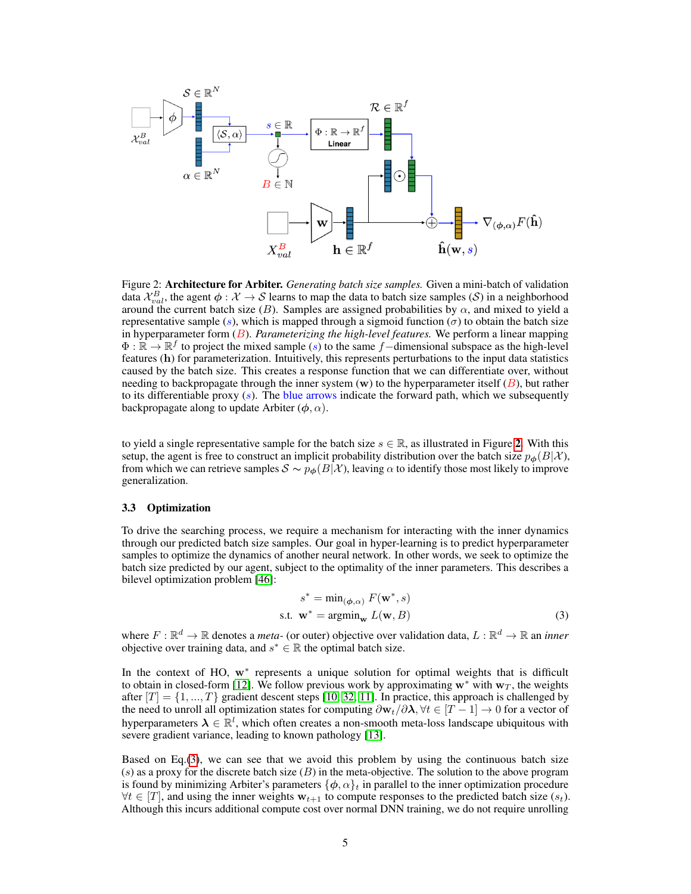<span id="page-4-1"></span>

Figure 2: Architecture for Arbiter. *Generating batch size samples.* Given a mini-batch of validation data  $\mathcal{X}_{val}^B$ , the agent  $\phi: \mathcal{X} \to \mathcal{S}$  learns to map the data to batch size samples (S) in a neighborhood around the current batch size (B). Samples are assigned probabilities by  $\alpha$ , and mixed to yield a representative sample  $(s)$ , which is mapped through a sigmoid function  $(\sigma)$  to obtain the batch size in hyperparameter form (B). *Parameterizing the high-level features.* We perform a linear mapping  $\Phi : \mathbb{R} \to \mathbb{R}^f$  to project the mixed sample (s) to the same f–dimensional subspace as the high-level features (h) for parameterization. Intuitively, this represents perturbations to the input data statistics caused by the batch size. This creates a response function that we can differentiate over, without needing to backpropagate through the inner system (w) to the hyperparameter itself  $(B)$ , but rather to its differentiable proxy  $(s)$ . The blue arrows indicate the forward path, which we subsequently backpropagate along to update Arbiter  $(\phi, \alpha)$ .

to yield a single representative sample for the batch size  $s \in \mathbb{R}$ , as illustrated in Figure [2](#page-4-1). With this setup, the agent is free to construct an implicit probability distribution over the batch size  $p_{\phi}(B|\mathcal{X})$ , from which we can retrieve samples  $S \sim p_{\phi}(B|\mathcal{X})$ , leaving  $\alpha$  to identify those most likely to improve generalization.

#### <span id="page-4-0"></span>3.3 Optimization

To drive the searching process, we require a mechanism for interacting with the inner dynamics through our predicted batch size samples. Our goal in hyper-learning is to predict hyperparameter samples to optimize the dynamics of another neural network. In other words, we seek to optimize the batch size predicted by our agent, subject to the optimality of the inner parameters. This describes a bilevel optimization problem [\[46\]](#page-10-7):

<span id="page-4-2"></span>
$$
s^* = \min_{(\phi,\alpha)} F(\mathbf{w}^*, s)
$$
  
s.t.  $\mathbf{w}^* = \operatorname{argmin}_{\mathbf{w}} L(\mathbf{w}, B)$  (3)

where  $F: \mathbb{R}^d \to \mathbb{R}$  denotes a *meta*- (or outer) objective over validation data,  $L: \mathbb{R}^d \to \mathbb{R}$  an *inner* objective over training data, and  $s^* \in \mathbb{R}$  the optimal batch size.

In the context of HO, w<sup>∗</sup> represents a unique solution for optimal weights that is difficult to obtain in closed-form [\[12\]](#page-8-11). We follow previous work by approximating  $w^*$  with  $w_T$ , the weights after  $[T] = \{1, ..., T\}$  gradient descent steps [\[10,](#page-8-9) [32,](#page-9-16) [11\]](#page-8-10). In practice, this approach is challenged by the need to unroll all optimization states for computing  $\partial w_t/\partial\lambda$ ,  $\forall t \in [T-1] \to 0$  for a vector of hyperparameters  $\lambda \in \mathbb{R}^l$ , which often creates a non-smooth meta-loss landscape ubiquitous with severe gradient variance, leading to known pathology [\[13\]](#page-8-12).

Based on Eq.[\(3\)](#page-4-2), we can see that we avoid this problem by using the continuous batch size (s) as a proxy for the discrete batch size  $(B)$  in the meta-objective. The solution to the above program is found by minimizing Arbiter's parameters  $\{\phi, \alpha\}_t$  in parallel to the inner optimization procedure  $\forall t \in [T]$ , and using the inner weights  $w_{t+1}$  to compute responses to the predicted batch size  $(s_t)$ . Although this incurs additional compute cost over normal DNN training, we do not require unrolling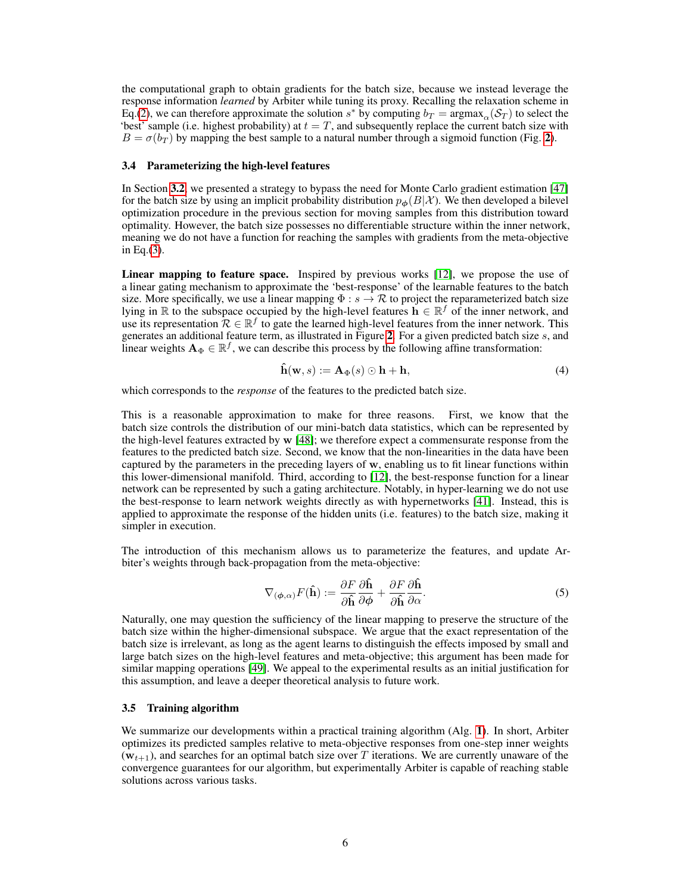the computational graph to obtain gradients for the batch size, because we instead leverage the response information *learned* by Arbiter while tuning its proxy. Recalling the relaxation scheme in Eq.[\(2\)](#page-3-4), we can therefore approximate the solution  $s^*$  by computing  $b_T = \text{argmax}_{\alpha}(\mathcal{S}_T)$  to select the 'best' sample (i.e. highest probability) at  $t = T$ , and subsequently replace the current batch size with  $B = \sigma(b_T)$  by mapping the best sample to a natural number through a sigmoid function (Fig. [2](#page-4-1)).

#### <span id="page-5-0"></span>3.4 Parameterizing the high-level features

In Section [3.2](#page-3-1), we presented a strategy to bypass the need for Monte Carlo gradient estimation [\[47\]](#page-10-8) for the batch size by using an implicit probability distribution  $p_{\phi}(B|\mathcal{X})$ . We then developed a bilevel optimization procedure in the previous section for moving samples from this distribution toward optimality. However, the batch size possesses no differentiable structure within the inner network, meaning we do not have a function for reaching the samples with gradients from the meta-objective in Eq.[\(3\)](#page-4-2).

Linear mapping to feature space. Inspired by previous works [\[12\]](#page-8-11), we propose the use of a linear gating mechanism to approximate the 'best-response' of the learnable features to the batch size. More specifically, we use a linear mapping  $\Phi : s \to \mathcal{R}$  to project the reparameterized batch size lying in  $\mathbb R$  to the subspace occupied by the high-level features  $\dot{\mathbf h} \in \mathbb R^f$  of the inner network, and use its representation  $\mathcal{R} \in \mathbb{R}^f$  to gate the learned high-level features from the inner network. This generates an additional feature term, as illustrated in Figure [2](#page-4-1). For a given predicted batch size s, and linear weights  $A_{\Phi} \in \mathbb{R}^{f}$ , we can describe this process by the following affine transformation:

$$
\hat{\mathbf{h}}(\mathbf{w},s) := \mathbf{A}_{\Phi}(s) \odot \mathbf{h} + \mathbf{h},\tag{4}
$$

which corresponds to the *response* of the features to the predicted batch size.

This is a reasonable approximation to make for three reasons. First, we know that the batch size controls the distribution of our mini-batch data statistics, which can be represented by the high-level features extracted by w [\[48\]](#page-10-9); we therefore expect a commensurate response from the features to the predicted batch size. Second, we know that the non-linearities in the data have been captured by the parameters in the preceding layers of w, enabling us to fit linear functions within this lower-dimensional manifold. Third, according to [\[12\]](#page-8-11), the best-response function for a linear network can be represented by such a gating architecture. Notably, in hyper-learning we do not use the best-response to learn network weights directly as with hypernetworks [\[41\]](#page-10-2). Instead, this is applied to approximate the response of the hidden units (i.e. features) to the batch size, making it simpler in execution.

The introduction of this mechanism allows us to parameterize the features, and update Arbiter's weights through back-propagation from the meta-objective:

$$
\nabla_{(\phi,\alpha)} F(\hat{\mathbf{h}}) := \frac{\partial F}{\partial \hat{\mathbf{h}}} \frac{\partial \hat{\mathbf{h}}}{\partial \phi} + \frac{\partial F}{\partial \hat{\mathbf{h}}} \frac{\partial \hat{\mathbf{h}}}{\partial \alpha}.
$$
 (5)

Naturally, one may question the sufficiency of the linear mapping to preserve the structure of the batch size within the higher-dimensional subspace. We argue that the exact representation of the batch size is irrelevant, as long as the agent learns to distinguish the effects imposed by small and large batch sizes on the high-level features and meta-objective; this argument has been made for similar mapping operations [\[49\]](#page-10-10). We appeal to the experimental results as an initial justification for this assumption, and leave a deeper theoretical analysis to future work.

#### <span id="page-5-1"></span>3.5 Training algorithm

We summarize our developments within a practical training algorithm (Alg. [1](#page-6-0)). In short, Arbiter optimizes its predicted samples relative to meta-objective responses from one-step inner weights  $(w_{t+1})$ , and searches for an optimal batch size over T iterations. We are currently unaware of the convergence guarantees for our algorithm, but experimentally Arbiter is capable of reaching stable solutions across various tasks.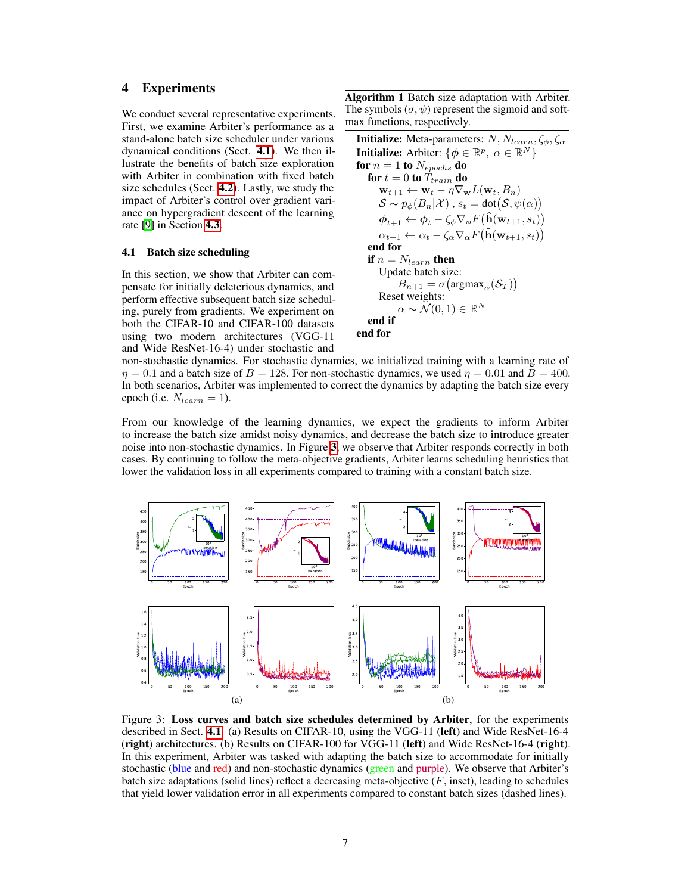# 4 Experiments

We conduct several representative experiments. First, we examine Arbiter's performance as a stand-alone batch size scheduler under various dynamical conditions (Sect. [4.1](#page-6-1)). We then illustrate the benefits of batch size exploration with Arbiter in combination with fixed batch size schedules (Sect. [4.2](#page-7-0)). Lastly, we study the impact of Arbiter's control over gradient variance on hypergradient descent of the learning rate [\[9\]](#page-8-8) in Section [4.3](#page-7-1).

#### <span id="page-6-1"></span>4.1 Batch size scheduling

In this section, we show that Arbiter can compensate for initially deleterious dynamics, and perform effective subsequent batch size scheduling, purely from gradients. We experiment on both the CIFAR-10 and CIFAR-100 datasets using two modern architectures (VGG-11 and Wide ResNet-16-4) under stochastic and

Algorithm 1 Batch size adaptation with Arbiter. The symbols  $(\sigma, \psi)$  represent the sigmoid and softmax functions, respectively.

```
Initialize: Meta-parameters: N, N_{learn}, \zeta_{\phi}, \zeta_{\alpha}Initialize: Arbiter: \{\phi \in \mathbb{R}^p, \ \alpha \in \mathbb{R}^N\}for n = 1 to N_{epochs} do
     for t = 0 to \bar{T}_{train} do
           \mathbf{w}_{t+1} \leftarrow \mathbf{w}_t - \eta \nabla_{\mathbf{w}} L(\mathbf{w}_t, B_n)\mathcal{S} \thicksim p_\phi(B_n|\mathcal{X}) , s_t = \text{dot}(\mathcal{S}, \psi(\alpha))\boldsymbol{\phi}_{t+1} \leftarrow \boldsymbol{\phi}_t - \zeta_{\phi} \nabla_{\phi} F\big(\mathbf{\hat{h}}(\mathbf{w}_{t+1}, s_t)\big)\alpha_{t+1} \leftarrow \alpha_t - \zeta_\alpha \nabla_\alpha F(\mathbf{\hat{h}}(\mathbf{w}_{t+1}, s_t))end for
     if n = N_{learn} then
          Update batch size:
                   B_{n+1} = \sigma(\operatorname{argmax}_{\alpha}(\mathcal{S}_T))Reset weights:
                   \alpha \thicksim \breve{\mathcal{N}}(0,1) \in \mathbb{R}^Nend if
end for
```
non-stochastic dynamics. For stochastic dynamics, we initialized training with a learning rate of  $\eta = 0.1$  and a batch size of  $B = 128$ . For non-stochastic dynamics, we used  $\eta = 0.01$  and  $B = 400$ . In both scenarios, Arbiter was implemented to correct the dynamics by adapting the batch size every epoch (i.e.  $N_{learn} = 1$ ).

From our knowledge of the learning dynamics, we expect the gradients to inform Arbiter to increase the batch size amidst noisy dynamics, and decrease the batch size to introduce greater noise into non-stochastic dynamics. In Figure [3](#page-6-2), we observe that Arbiter responds correctly in both cases. By continuing to follow the meta-objective gradients, Arbiter learns scheduling heuristics that lower the validation loss in all experiments compared to training with a constant batch size.

<span id="page-6-2"></span>

Figure 3: Loss curves and batch size schedules determined by Arbiter, for the experiments described in Sect. [4.1](#page-6-1). (a) Results on CIFAR-10, using the VGG-11 (left) and Wide ResNet-16-4 (right) architectures. (b) Results on CIFAR-100 for VGG-11 (left) and Wide ResNet-16-4 (right). In this experiment, Arbiter was tasked with adapting the batch size to accommodate for initially stochastic (blue and red) and non-stochastic dynamics (green and purple). We observe that Arbiter's batch size adaptations (solid lines) reflect a decreasing meta-objective  $(F, \text{inset})$ , leading to schedules that yield lower validation error in all experiments compared to constant batch sizes (dashed lines).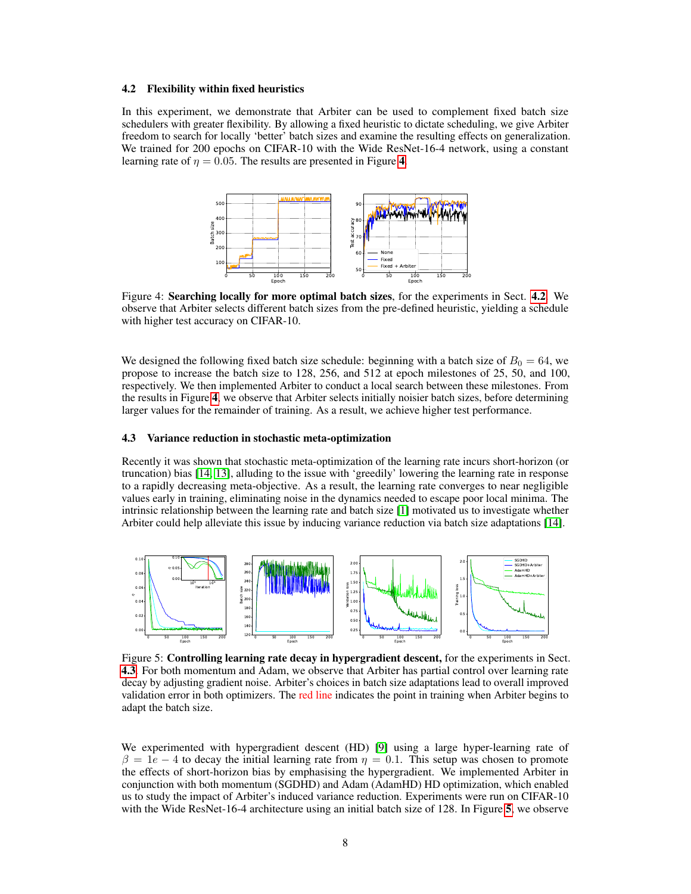#### <span id="page-7-0"></span>4.2 Flexibility within fixed heuristics

<span id="page-7-2"></span>In this experiment, we demonstrate that Arbiter can be used to complement fixed batch size schedulers with greater flexibility. By allowing a fixed heuristic to dictate scheduling, we give Arbiter freedom to search for locally 'better' batch sizes and examine the resulting effects on generalization. We trained for 200 epochs on CIFAR-10 with the Wide ResNet-16-4 network, using a constant learning rate of  $\eta = 0.05$ . The results are presented in Figure [4](#page-7-2).



Figure 4: Searching locally for more optimal batch sizes, for the experiments in Sect. [4.2](#page-7-0). We observe that Arbiter selects different batch sizes from the pre-defined heuristic, yielding a schedule with higher test accuracy on CIFAR-10.

We designed the following fixed batch size schedule: beginning with a batch size of  $B_0 = 64$ , we propose to increase the batch size to 128, 256, and 512 at epoch milestones of 25, 50, and 100, respectively. We then implemented Arbiter to conduct a local search between these milestones. From the results in Figure [4](#page-7-2), we observe that Arbiter selects initially noisier batch sizes, before determining larger values for the remainder of training. As a result, we achieve higher test performance.

#### <span id="page-7-1"></span>4.3 Variance reduction in stochastic meta-optimization

Recently it was shown that stochastic meta-optimization of the learning rate incurs short-horizon (or truncation) bias [\[14,](#page-8-13) [13\]](#page-8-12), alluding to the issue with 'greedily' lowering the learning rate in response to a rapidly decreasing meta-objective. As a result, the learning rate converges to near negligible values early in training, eliminating noise in the dynamics needed to escape poor local minima. The intrinsic relationship between the learning rate and batch size [\[1\]](#page-8-0) motivated us to investigate whether Arbiter could help alleviate this issue by inducing variance reduction via batch size adaptations [\[14\]](#page-8-13).

<span id="page-7-3"></span>

Figure 5: Controlling learning rate decay in hypergradient descent, for the experiments in Sect. [4.3](#page-7-1). For both momentum and Adam, we observe that Arbiter has partial control over learning rate decay by adjusting gradient noise. Arbiter's choices in batch size adaptations lead to overall improved validation error in both optimizers. The red line indicates the point in training when Arbiter begins to adapt the batch size.

We experimented with hypergradient descent (HD) [\[9\]](#page-8-8) using a large hyper-learning rate of  $\beta = 1e - 4$  to decay the initial learning rate from  $\eta = 0.1$ . This setup was chosen to promote the effects of short-horizon bias by emphasising the hypergradient. We implemented Arbiter in conjunction with both momentum (SGDHD) and Adam (AdamHD) HD optimization, which enabled us to study the impact of Arbiter's induced variance reduction. Experiments were run on CIFAR-10 with the Wide ResNet-16-4 architecture using an initial batch size of 128. In Figure [5](#page-7-3), we observe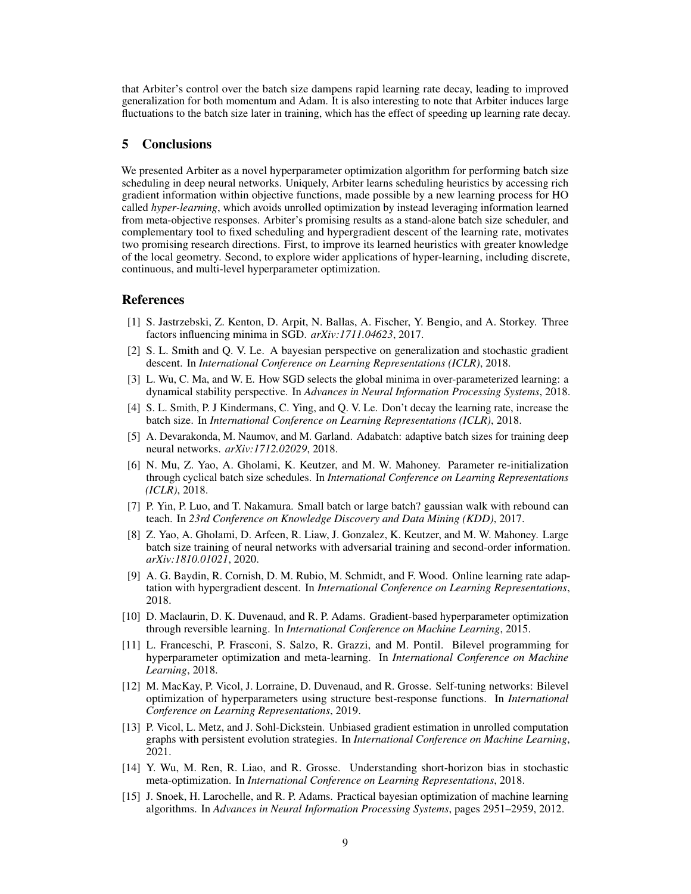that Arbiter's control over the batch size dampens rapid learning rate decay, leading to improved generalization for both momentum and Adam. It is also interesting to note that Arbiter induces large fluctuations to the batch size later in training, which has the effect of speeding up learning rate decay.

### 5 Conclusions

We presented Arbiter as a novel hyperparameter optimization algorithm for performing batch size scheduling in deep neural networks. Uniquely, Arbiter learns scheduling heuristics by accessing rich gradient information within objective functions, made possible by a new learning process for HO called *hyper-learning*, which avoids unrolled optimization by instead leveraging information learned from meta-objective responses. Arbiter's promising results as a stand-alone batch size scheduler, and complementary tool to fixed scheduling and hypergradient descent of the learning rate, motivates two promising research directions. First, to improve its learned heuristics with greater knowledge of the local geometry. Second, to explore wider applications of hyper-learning, including discrete, continuous, and multi-level hyperparameter optimization.

#### References

- <span id="page-8-0"></span>[1] S. Jastrzebski, Z. Kenton, D. Arpit, N. Ballas, A. Fischer, Y. Bengio, and A. Storkey. Three factors influencing minima in SGD. *arXiv:1711.04623*, 2017.
- <span id="page-8-1"></span>[2] S. L. Smith and Q. V. Le. A bayesian perspective on generalization and stochastic gradient descent. In *International Conference on Learning Representations (ICLR)*, 2018.
- <span id="page-8-2"></span>[3] L. Wu, C. Ma, and W. E. How SGD selects the global minima in over-parameterized learning: a dynamical stability perspective. In *Advances in Neural Information Processing Systems*, 2018.
- <span id="page-8-3"></span>[4] S. L. Smith, P. J Kindermans, C. Ying, and Q. V. Le. Don't decay the learning rate, increase the batch size. In *International Conference on Learning Representations (ICLR)*, 2018.
- <span id="page-8-4"></span>[5] A. Devarakonda, M. Naumov, and M. Garland. Adabatch: adaptive batch sizes for training deep neural networks. *arXiv:1712.02029*, 2018.
- <span id="page-8-5"></span>[6] N. Mu, Z. Yao, A. Gholami, K. Keutzer, and M. W. Mahoney. Parameter re-initialization through cyclical batch size schedules. In *International Conference on Learning Representations (ICLR)*, 2018.
- <span id="page-8-6"></span>[7] P. Yin, P. Luo, and T. Nakamura. Small batch or large batch? gaussian walk with rebound can teach. In *23rd Conference on Knowledge Discovery and Data Mining (KDD)*, 2017.
- <span id="page-8-7"></span>[8] Z. Yao, A. Gholami, D. Arfeen, R. Liaw, J. Gonzalez, K. Keutzer, and M. W. Mahoney. Large batch size training of neural networks with adversarial training and second-order information. *arXiv:1810.01021*, 2020.
- <span id="page-8-8"></span>[9] A. G. Baydin, R. Cornish, D. M. Rubio, M. Schmidt, and F. Wood. Online learning rate adaptation with hypergradient descent. In *International Conference on Learning Representations*, 2018.
- <span id="page-8-9"></span>[10] D. Maclaurin, D. K. Duvenaud, and R. P. Adams. Gradient-based hyperparameter optimization through reversible learning. In *International Conference on Machine Learning*, 2015.
- <span id="page-8-10"></span>[11] L. Franceschi, P. Frasconi, S. Salzo, R. Grazzi, and M. Pontil. Bilevel programming for hyperparameter optimization and meta-learning. In *International Conference on Machine Learning*, 2018.
- <span id="page-8-11"></span>[12] M. MacKay, P. Vicol, J. Lorraine, D. Duvenaud, and R. Grosse. Self-tuning networks: Bilevel optimization of hyperparameters using structure best-response functions. In *International Conference on Learning Representations*, 2019.
- <span id="page-8-12"></span>[13] P. Vicol, L. Metz, and J. Sohl-Dickstein. Unbiased gradient estimation in unrolled computation graphs with persistent evolution strategies. In *International Conference on Machine Learning*, 2021.
- <span id="page-8-13"></span>[14] Y. Wu, M. Ren, R. Liao, and R. Grosse. Understanding short-horizon bias in stochastic meta-optimization. In *International Conference on Learning Representations*, 2018.
- <span id="page-8-14"></span>[15] J. Snoek, H. Larochelle, and R. P. Adams. Practical bayesian optimization of machine learning algorithms. In *Advances in Neural Information Processing Systems*, pages 2951–2959, 2012.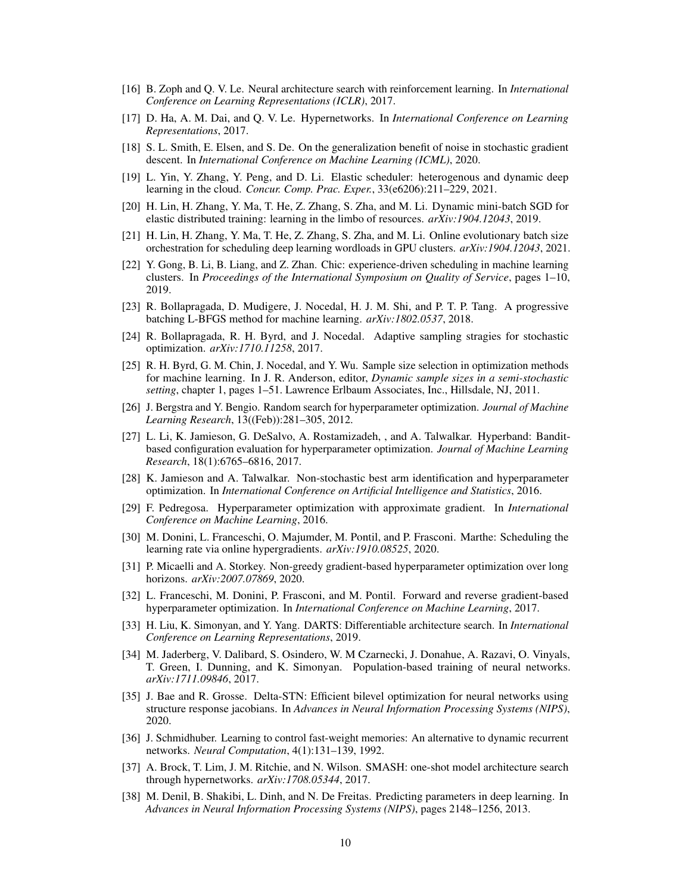- <span id="page-9-0"></span>[16] B. Zoph and Q. V. Le. Neural architecture search with reinforcement learning. In *International Conference on Learning Representations (ICLR)*, 2017.
- <span id="page-9-1"></span>[17] D. Ha, A. M. Dai, and Q. V. Le. Hypernetworks. In *International Conference on Learning Representations*, 2017.
- <span id="page-9-2"></span>[18] S. L. Smith, E. Elsen, and S. De. On the generalization benefit of noise in stochastic gradient descent. In *International Conference on Machine Learning (ICML)*, 2020.
- <span id="page-9-3"></span>[19] L. Yin, Y. Zhang, Y. Peng, and D. Li. Elastic scheduler: heterogenous and dynamic deep learning in the cloud. *Concur. Comp. Prac. Exper.*, 33(e6206):211–229, 2021.
- <span id="page-9-4"></span>[20] H. Lin, H. Zhang, Y. Ma, T. He, Z. Zhang, S. Zha, and M. Li. Dynamic mini-batch SGD for elastic distributed training: learning in the limbo of resources. *arXiv:1904.12043*, 2019.
- <span id="page-9-5"></span>[21] H. Lin, H. Zhang, Y. Ma, T. He, Z. Zhang, S. Zha, and M. Li. Online evolutionary batch size orchestration for scheduling deep learning wordloads in GPU clusters. *arXiv:1904.12043*, 2021.
- <span id="page-9-6"></span>[22] Y. Gong, B. Li, B. Liang, and Z. Zhan. Chic: experience-driven scheduling in machine learning clusters. In *Proceedings of the International Symposium on Quality of Service*, pages 1–10, 2019.
- <span id="page-9-7"></span>[23] R. Bollapragada, D. Mudigere, J. Nocedal, H. J. M. Shi, and P. T. P. Tang. A progressive batching L-BFGS method for machine learning. *arXiv:1802.0537*, 2018.
- <span id="page-9-8"></span>[24] R. Bollapragada, R. H. Byrd, and J. Nocedal. Adaptive sampling stragies for stochastic optimization. *arXiv:1710.11258*, 2017.
- <span id="page-9-9"></span>[25] R. H. Byrd, G. M. Chin, J. Nocedal, and Y. Wu. Sample size selection in optimization methods for machine learning. In J. R. Anderson, editor, *Dynamic sample sizes in a semi-stochastic setting*, chapter 1, pages 1–51. Lawrence Erlbaum Associates, Inc., Hillsdale, NJ, 2011.
- <span id="page-9-10"></span>[26] J. Bergstra and Y. Bengio. Random search for hyperparameter optimization. *Journal of Machine Learning Research*, 13((Feb)):281–305, 2012.
- <span id="page-9-11"></span>[27] L. Li, K. Jamieson, G. DeSalvo, A. Rostamizadeh, , and A. Talwalkar. Hyperband: Banditbased configuration evaluation for hyperparameter optimization. *Journal of Machine Learning Research*, 18(1):6765–6816, 2017.
- <span id="page-9-12"></span>[28] K. Jamieson and A. Talwalkar. Non-stochastic best arm identification and hyperparameter optimization. In *International Conference on Artificial Intelligence and Statistics*, 2016.
- <span id="page-9-13"></span>[29] F. Pedregosa. Hyperparameter optimization with approximate gradient. In *International Conference on Machine Learning*, 2016.
- <span id="page-9-14"></span>[30] M. Donini, L. Franceschi, O. Majumder, M. Pontil, and P. Frasconi. Marthe: Scheduling the learning rate via online hypergradients. *arXiv:1910.08525*, 2020.
- <span id="page-9-15"></span>[31] P. Micaelli and A. Storkey. Non-greedy gradient-based hyperparameter optimization over long horizons. *arXiv:2007.07869*, 2020.
- <span id="page-9-16"></span>[32] L. Franceschi, M. Donini, P. Frasconi, and M. Pontil. Forward and reverse gradient-based hyperparameter optimization. In *International Conference on Machine Learning*, 2017.
- <span id="page-9-17"></span>[33] H. Liu, K. Simonyan, and Y. Yang. DARTS: Differentiable architecture search. In *International Conference on Learning Representations*, 2019.
- <span id="page-9-18"></span>[34] M. Jaderberg, V. Dalibard, S. Osindero, W. M Czarnecki, J. Donahue, A. Razavi, O. Vinyals, T. Green, I. Dunning, and K. Simonyan. Population-based training of neural networks. *arXiv:1711.09846*, 2017.
- <span id="page-9-19"></span>[35] J. Bae and R. Grosse. Delta-STN: Efficient bilevel optimization for neural networks using structure response jacobians. In *Advances in Neural Information Processing Systems (NIPS)*, 2020.
- <span id="page-9-20"></span>[36] J. Schmidhuber. Learning to control fast-weight memories: An alternative to dynamic recurrent networks. *Neural Computation*, 4(1):131–139, 1992.
- <span id="page-9-21"></span>[37] A. Brock, T. Lim, J. M. Ritchie, and N. Wilson. SMASH: one-shot model architecture search through hypernetworks. *arXiv:1708.05344*, 2017.
- <span id="page-9-22"></span>[38] M. Denil, B. Shakibi, L. Dinh, and N. De Freitas. Predicting parameters in deep learning. In *Advances in Neural Information Processing Systems (NIPS)*, pages 2148–1256, 2013.